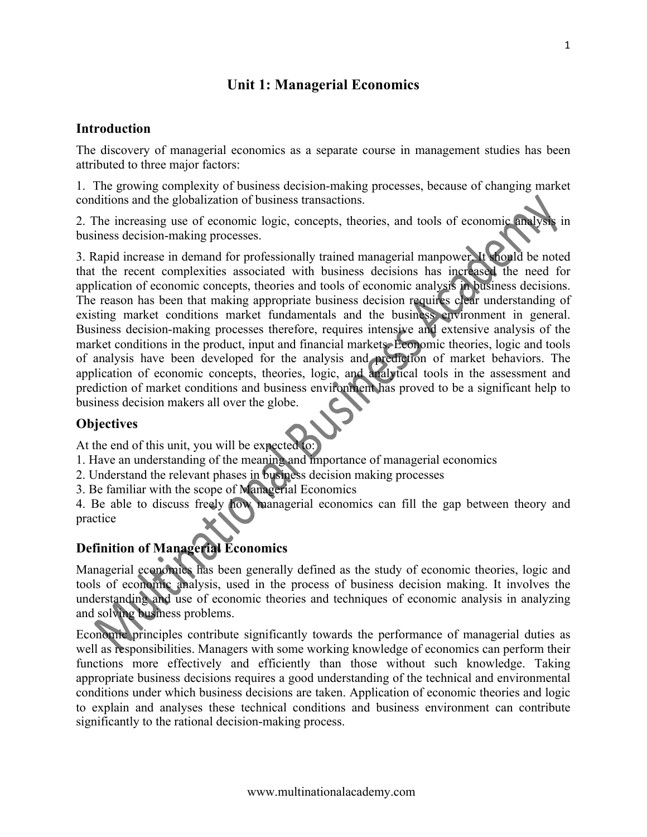# **Unit 1: Managerial Economics**

### **Introduction**

The discovery of managerial economics as a separate course in management studies has been attributed to three major factors:

1. The growing complexity of business decision-making processes, because of changing market conditions and the globalization of business transactions.

2. The increasing use of economic logic, concepts, theories, and tools of economic analysis in business decision-making processes.

3. Rapid increase in demand for professionally trained managerial manpower. It should be noted that the recent complexities associated with business decisions has increased the need for application of economic concepts, theories and tools of economic analysis in business decisions. The reason has been that making appropriate business decision requires clear understanding of existing market conditions market fundamentals and the business environment in general. Business decision-making processes therefore, requires intensive and extensive analysis of the market conditions in the product, input and financial markets. Economic theories, logic and tools of analysis have been developed for the analysis and prediction of market behaviors. The application of economic concepts, theories, logic, and analytical tools in the assessment and prediction of market conditions and business environment has proved to be a significant help to business decision makers all over the globe.

## **Objectives**

At the end of this unit, you will be expected to:

- 1. Have an understanding of the meaning and importance of managerial economics
- 2. Understand the relevant phases in business decision making processes
- 3. Be familiar with the scope of Managerial Economics

4. Be able to discuss freely how managerial economics can fill the gap between theory and practice

# **Definition of Managerial Economics**

Managerial economics has been generally defined as the study of economic theories, logic and tools of economic analysis, used in the process of business decision making. It involves the understanding and use of economic theories and techniques of economic analysis in analyzing and solving business problems.

Economic principles contribute significantly towards the performance of managerial duties as well as responsibilities. Managers with some working knowledge of economics can perform their functions more effectively and efficiently than those without such knowledge. Taking appropriate business decisions requires a good understanding of the technical and environmental conditions under which business decisions are taken. Application of economic theories and logic to explain and analyses these technical conditions and business environment can contribute significantly to the rational decision-making process.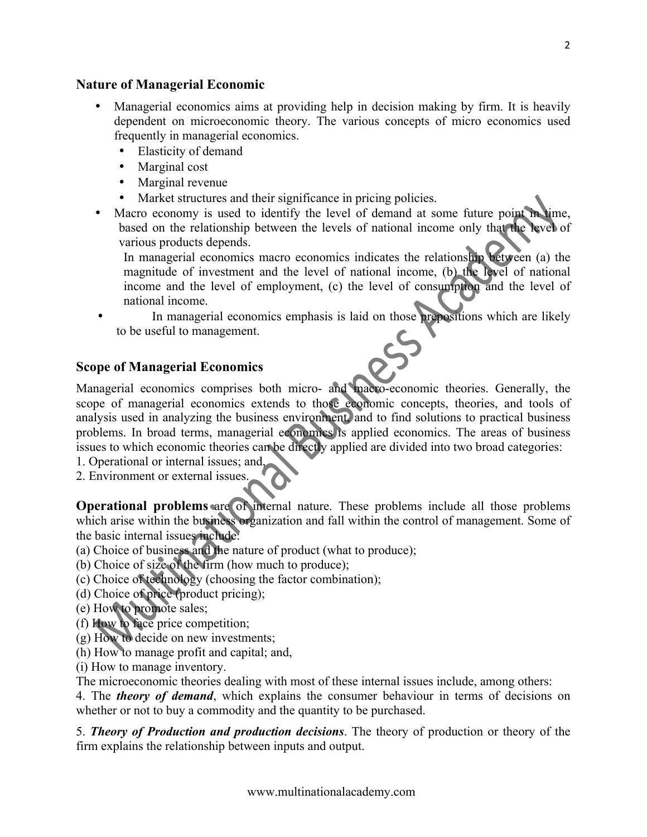### **Nature of Managerial Economic**

- Managerial economics aims at providing help in decision making by firm. It is heavily dependent on microeconomic theory. The various concepts of micro economics used frequently in managerial economics.
	- Elasticity of demand
	- Marginal cost
	- Marginal revenue
	- Market structures and their significance in pricing policies.
- Macro economy is used to identify the level of demand at some future point in time, based on the relationship between the levels of national income only that the level of various products depends.

In managerial economics macro economics indicates the relationship between (a) the magnitude of investment and the level of national income, (b) the level of national income and the level of employment, (c) the level of consumption and the level of national income.

In managerial economics emphasis is laid on those prepositions which are likely to be useful to management.

### **Scope of Managerial Economics**

Managerial economics comprises both micro- and macro-economic theories. Generally, the scope of managerial economics extends to those economic concepts, theories, and tools of analysis used in analyzing the business environment, and to find solutions to practical business problems. In broad terms, managerial economics is applied economics. The areas of business issues to which economic theories can be directly applied are divided into two broad categories:

- 1. Operational or internal issues; and,
- 2. Environment or external issues.

**Operational problems** are of internal nature. These problems include all those problems which arise within the business organization and fall within the control of management. Some of the basic internal issues include:

- (a) Choice of business and the nature of product (what to produce);
- (b) Choice of size of the firm (how much to produce);
- (c) Choice of technology (choosing the factor combination);
- (d) Choice of price (product pricing);
- (e) How to promote sales;
- (f) How to face price competition;
- (g) How to decide on new investments;
- (h) How to manage profit and capital; and,
- (i) How to manage inventory.

The microeconomic theories dealing with most of these internal issues include, among others:

4. The *theory of demand*, which explains the consumer behaviour in terms of decisions on whether or not to buy a commodity and the quantity to be purchased.

5. *Theory of Production and production decisions*. The theory of production or theory of the firm explains the relationship between inputs and output.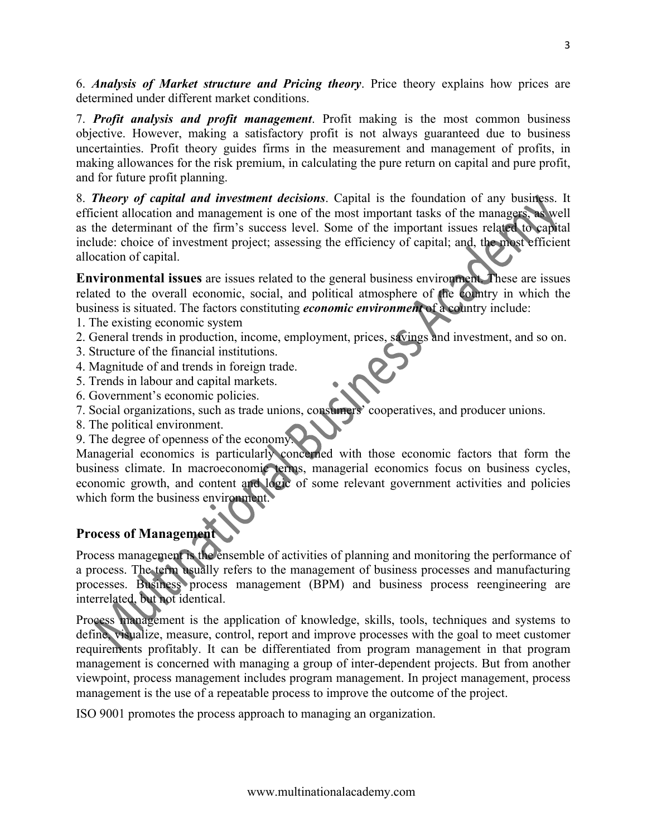6. *Analysis of Market structure and Pricing theory*. Price theory explains how prices are determined under different market conditions.

7. *Profit analysis and profit management*. Profit making is the most common business objective. However, making a satisfactory profit is not always guaranteed due to business uncertainties. Profit theory guides firms in the measurement and management of profits, in making allowances for the risk premium, in calculating the pure return on capital and pure profit, and for future profit planning.

8. *Theory of capital and investment decisions*. Capital is the foundation of any business. It efficient allocation and management is one of the most important tasks of the managers, as well as the determinant of the firm's success level. Some of the important issues related to capital include: choice of investment project; assessing the efficiency of capital; and, the most efficient allocation of capital.

**Environmental issues** are issues related to the general business environment. These are issues related to the overall economic, social, and political atmosphere of the country in which the business is situated. The factors constituting *economic environment* of a country include:

- 1. The existing economic system
- 2. General trends in production, income, employment, prices, savings and investment, and so on.
- 3. Structure of the financial institutions.
- 4. Magnitude of and trends in foreign trade.
- 5. Trends in labour and capital markets.
- 6. Government's economic policies.
- 7. Social organizations, such as trade unions, consumers' cooperatives, and producer unions.
- 8. The political environment.
- 9. The degree of openness of the economy.

Managerial economics is particularly concerned with those economic factors that form the business climate. In macroeconomic terms, managerial economics focus on business cycles, economic growth, and content and logic of some relevant government activities and policies which form the business environment.

## **Process of Management**

Process management is the ensemble of activities of planning and monitoring the performance of a process. The term usually refers to the management of business processes and manufacturing processes. Business process management (BPM) and business process reengineering are interrelated, but not identical.

Process management is the application of knowledge, skills, tools, techniques and systems to define, visualize, measure, control, report and improve processes with the goal to meet customer requirements profitably. It can be differentiated from program management in that program management is concerned with managing a group of inter-dependent projects. But from another viewpoint, process management includes program management. In project management, process management is the use of a repeatable process to improve the outcome of the project.

ISO 9001 promotes the process approach to managing an organization.